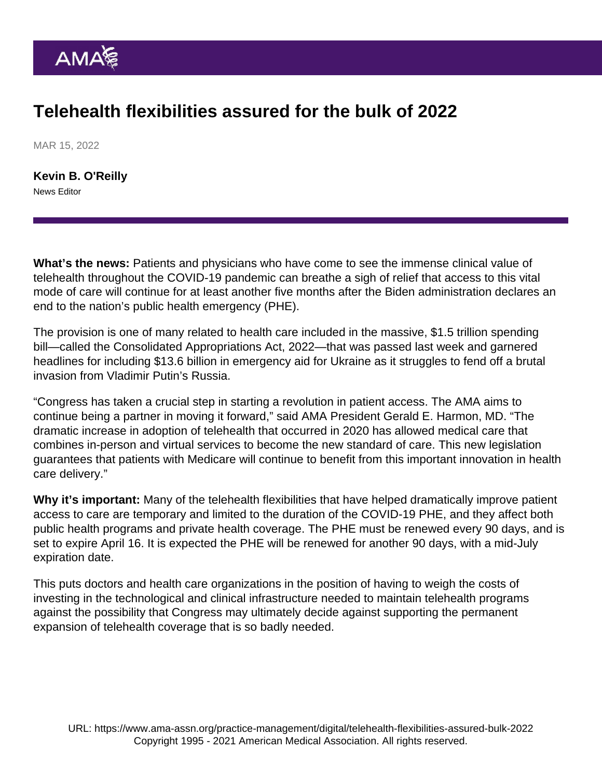## Telehealth flexibilities assured for the bulk of 2022

MAR 15, 2022

[Kevin B. O'Reilly](https://www.ama-assn.org/news-leadership-viewpoints/authors-news-leadership-viewpoints/kevin-b-oreilly) News Editor

What's the news: Patients and physicians who have come to see the immense clinical value of [telehealth](https://www.ama-assn.org/topics/telehealth) throughout the COVID-19 pandemic can breathe a sigh of relief that access to this vital mode of care will continue for at least another five months after the Biden administration declares an end to the nation's public health emergency (PHE).

The provision is one of many related to health care included in the massive, \$1.5 trillion spending bill—called the Consolidated Appropriations Act, 2022—that was passed last week and garnered headlines for including \$13.6 billion in emergency aid for Ukraine as it struggles to fend off a brutal invasion from Vladimir Putin's Russia.

"Congress has taken a crucial step in starting a revolution in patient access. The AMA aims to continue being a partner in moving it forward," said AMA President [Gerald E. Harmon, MD](https://www.ama-assn.org/about/board-trustees/gerald-e-harmon-md). "The dramatic increase in adoption of telehealth that occurred in 2020 has allowed medical care that combines in-person and virtual services to become the new standard of care. This new legislation guarantees that patients with Medicare will continue to benefit from this important innovation in health care delivery."

Why it's important: Many of the telehealth flexibilities that have helped dramatically improve patient access to care are temporary and limited to the duration of the COVID-19 PHE, and they affect both public health programs and private health coverage. The PHE must be renewed every 90 days, and is set to expire April 16. It is expected the PHE will be renewed for another 90 days, with a mid-July expiration date.

This puts doctors and health care organizations in the position of having to weigh the costs of investing in the technological and clinical infrastructure needed to maintain telehealth programs against the possibility that Congress may ultimately decide against supporting the permanent expansion of telehealth coverage that is so badly needed.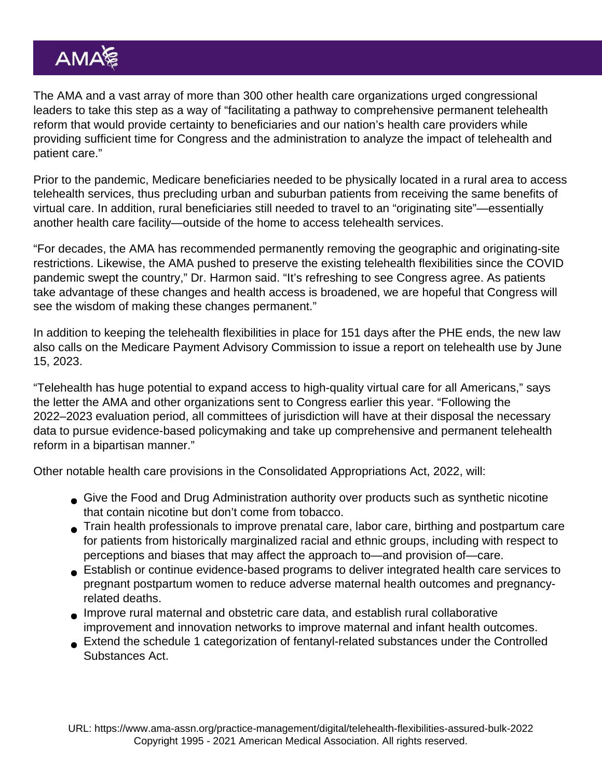The AMA and a vast array of more than 300 other health care organizations [urged congressional](https://searchlf.ama-assn.org/letter/documentDownload?uri=/unstructured/binary/letter/LETTERS/Telehealth-Pathway-to-Reform-Letter-to-Congress-w-signers-FIN-1-31-22.pdf) [leaders](https://searchlf.ama-assn.org/letter/documentDownload?uri=/unstructured/binary/letter/LETTERS/Telehealth-Pathway-to-Reform-Letter-to-Congress-w-signers-FIN-1-31-22.pdf) to take this step as a way of "facilitating a pathway to comprehensive permanent telehealth reform that would provide certainty to beneficiaries and our nation's health care providers while providing sufficient time for Congress and the administration to analyze the impact of telehealth and patient care."

Prior to the pandemic, Medicare beneficiaries needed to be physically located in a rural area to access telehealth services, thus precluding urban and suburban patients from receiving the same benefits of virtual care. In addition, rural beneficiaries still needed to travel to an "originating site"—essentially another health care facility—outside of the home to access telehealth services.

"For decades, the AMA has recommended permanently removing the geographic and originating-site restrictions. Likewise, the AMA pushed to preserve the existing telehealth flexibilities since the COVID pandemic swept the country," Dr. Harmon said. "It's refreshing to see Congress agree. As patients take advantage of these changes and health access is broadened, we are hopeful that Congress will see the wisdom of making these changes permanent."

In addition to keeping the telehealth flexibilities in place for 151 days after the PHE ends, the new law also calls on the Medicare Payment Advisory Commission to issue a report on telehealth use by June 15, 2023.

"Telehealth has huge potential to expand access to high-quality virtual care for all Americans," says the letter the AMA and other organizations sent to Congress earlier this year. "Following the 2022–2023 evaluation period, all committees of jurisdiction will have at their disposal the necessary data to pursue evidence-based policymaking and take up comprehensive and permanent telehealth reform in a bipartisan manner."

Other notable health care provisions in the Consolidated Appropriations Act, 2022, will:

- Give the Food and Drug Administration authority over products such as synthetic nicotine that contain nicotine but don't come from tobacco.
- Train health professionals to improve prenatal care, labor care, birthing and postpartum care for patients from historically marginalized racial and ethnic groups, including with respect to perceptions and biases that may affect the approach to—and provision of—care.
- Establish or continue evidence-based programs to deliver integrated health care services to pregnant postpartum women to reduce adverse maternal health outcomes and pregnancyrelated deaths.
- Improve rural maternal and obstetric care data, and establish rural collaborative improvement and innovation networks to improve maternal and infant health outcomes.
- Extend the schedule 1 categorization of fentanyl-related substances under the Controlled Substances Act.